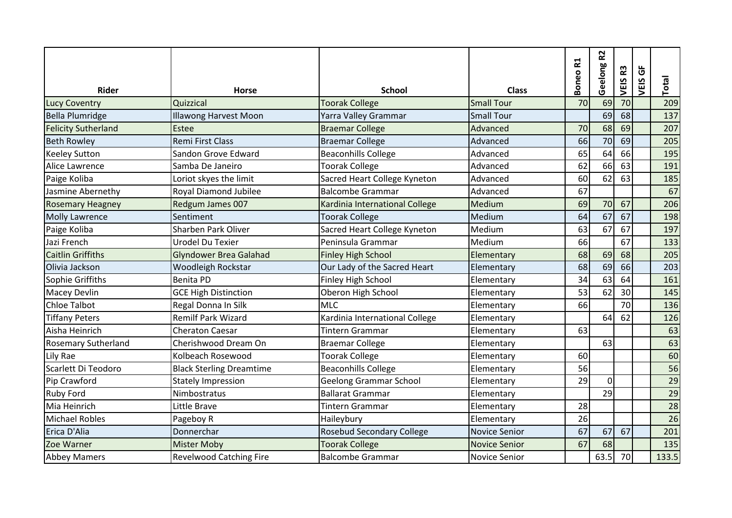|                            |                                 |                                  |                      | 51    | 52       |         | $\overline{6}$ |       |
|----------------------------|---------------------------------|----------------------------------|----------------------|-------|----------|---------|----------------|-------|
| <b>Rider</b>               | <b>Horse</b>                    | <b>School</b>                    | <b>Class</b>         | Boneo | Geelong  | VEIS R3 | VEIS           | Total |
| <b>Lucy Coventry</b>       | Quizzical                       | <b>Toorak College</b>            | <b>Small Tour</b>    | 70    | 69       | 70      |                | 209   |
| <b>Bella Plumridge</b>     | <b>Illawong Harvest Moon</b>    | Yarra Valley Grammar             | <b>Small Tour</b>    |       | 69       | 68      |                | 137   |
| <b>Felicity Sutherland</b> | Estee                           | <b>Braemar College</b>           | Advanced             | 70    | 68       | 69      |                | 207   |
| <b>Beth Rowley</b>         | Remi First Class                | <b>Braemar College</b>           | Advanced             | 66    | 70       | 69      |                | 205   |
| <b>Keeley Sutton</b>       | Sandon Grove Edward             | <b>Beaconhills College</b>       | Advanced             | 65    | 64       | 66      |                | 195   |
| Alice Lawrence             | Samba De Janeiro                | <b>Toorak College</b>            | Advanced             | 62    | 66       | 63      |                | 191   |
| Paige Koliba               | Loriot skyes the limit          | Sacred Heart College Kyneton     | Advanced             | 60    | 62       | 63      |                | 185   |
| Jasmine Abernethy          | Royal Diamond Jubilee           | <b>Balcombe Grammar</b>          | Advanced             | 67    |          |         |                | 67    |
| <b>Rosemary Heagney</b>    | Redgum James 007                | Kardinia International College   | Medium               | 69    | 70       | 67      |                | 206   |
| <b>Molly Lawrence</b>      | Sentiment                       | <b>Toorak College</b>            | Medium               | 64    | 67       | 67      |                | 198   |
| Paige Koliba               | Sharben Park Oliver             | Sacred Heart College Kyneton     | Medium               | 63    | 67       | 67      |                | 197   |
| Jazi French                | <b>Urodel Du Texier</b>         | Peninsula Grammar                | Medium               | 66    |          | 67      |                | 133   |
| <b>Caitlin Griffiths</b>   | <b>Glyndower Brea Galahad</b>   | <b>Finley High School</b>        | Elementary           | 68    | 69       | 68      |                | 205   |
| Olivia Jackson             | Woodleigh Rockstar              | Our Lady of the Sacred Heart     | Elementary           | 68    | 69       | 66      |                | 203   |
| Sophie Griffiths           | <b>Benita PD</b>                | Finley High School               | Elementary           | 34    | 63       | 64      |                | 161   |
| Macey Devlin               | <b>GCE High Distinction</b>     | Oberon High School               | Elementary           | 53    | 62       | 30      |                | 145   |
| <b>Chloe Talbot</b>        | Regal Donna In Silk             | <b>MLC</b>                       | Elementary           | 66    |          | 70      |                | 136   |
| <b>Tiffany Peters</b>      | <b>Remilf Park Wizard</b>       | Kardinia International College   | Elementary           |       | 64       | 62      |                | 126   |
| Aisha Heinrich             | <b>Cheraton Caesar</b>          | <b>Tintern Grammar</b>           | Elementary           | 63    |          |         |                | 63    |
| <b>Rosemary Sutherland</b> | Cherishwood Dream On            | <b>Braemar College</b>           | Elementary           |       | 63       |         |                | 63    |
| Lily Rae                   | Kolbeach Rosewood               | <b>Toorak College</b>            | Elementary           | 60    |          |         |                | 60    |
| Scarlett Di Teodoro        | <b>Black Sterling Dreamtime</b> | <b>Beaconhills College</b>       | Elementary           | 56    |          |         |                | 56    |
| Pip Crawford               | <b>Stately Impression</b>       | <b>Geelong Grammar School</b>    | Elementary           | 29    | $\Omega$ |         |                | 29    |
| <b>Ruby Ford</b>           | Nimbostratus                    | <b>Ballarat Grammar</b>          | Elementary           |       | 29       |         |                | 29    |
| Mia Heinrich               | Little Brave                    | <b>Tintern Grammar</b>           | Elementary           | 28    |          |         |                | 28    |
| <b>Michael Robles</b>      | Pageboy R                       | Haileybury                       | Elementary           | 26    |          |         |                | 26    |
| Erica D'Alia               | Donnerchar                      | <b>Rosebud Secondary College</b> | <b>Novice Senior</b> | 67    | 67       | 67      |                | 201   |
| Zoe Warner                 | <b>Mister Moby</b>              | <b>Toorak College</b>            | <b>Novice Senior</b> | 67    | 68       |         |                | 135   |
| <b>Abbey Mamers</b>        | <b>Revelwood Catching Fire</b>  | <b>Balcombe Grammar</b>          | <b>Novice Senior</b> |       | 63.5     | 70      |                | 133.5 |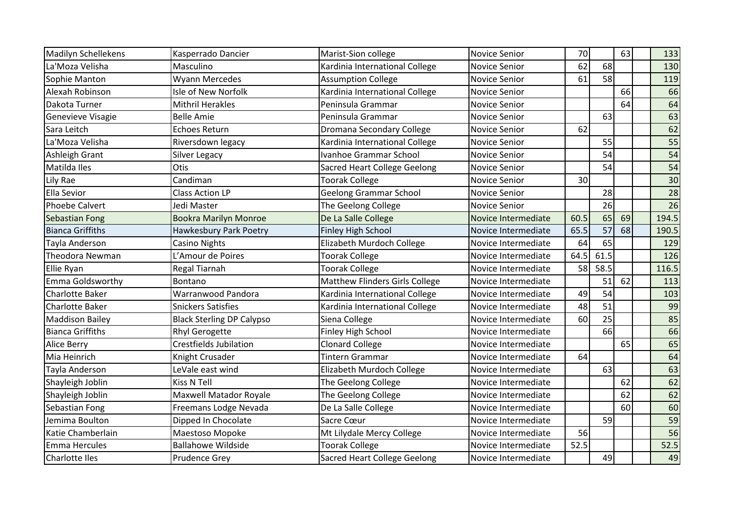| <b>Madilyn Schellekens</b> | Kasperrado Dancier               | Marist-Sion college                 | <b>Novice Senior</b> | 70   |      | 63 | 133   |
|----------------------------|----------------------------------|-------------------------------------|----------------------|------|------|----|-------|
| La'Moza Velisha            | Masculino                        | Kardinia International College      | <b>Novice Senior</b> | 62   | 68   |    | 130   |
| Sophie Manton              | Wyann Mercedes                   | <b>Assumption College</b>           | <b>Novice Senior</b> | 61   | 58   |    | 119   |
| Alexah Robinson            | Isle of New Norfolk              | Kardinia International College      | <b>Novice Senior</b> |      |      | 66 | 66    |
| Dakota Turner              | <b>Mithril Herakles</b>          | Peninsula Grammar                   | <b>Novice Senior</b> |      |      | 64 | 64    |
| Genevieve Visagie          | <b>Belle Amie</b>                | Peninsula Grammar                   | <b>Novice Senior</b> |      | 63   |    | 63    |
| Sara Leitch                | <b>Echoes Return</b>             | Dromana Secondary College           | <b>Novice Senior</b> | 62   |      |    | 62    |
| La'Moza Velisha            | Riversdown legacy                | Kardinia International College      | Novice Senior        |      | 55   |    | 55    |
| Ashleigh Grant             | <b>Silver Legacy</b>             | Ivanhoe Grammar School              | <b>Novice Senior</b> |      | 54   |    | 54    |
| Matilda Iles               | Otis                             | <b>Sacred Heart College Geelong</b> | <b>Novice Senior</b> |      | 54   |    | 54    |
| Lily Rae                   | Candiman                         | <b>Toorak College</b>               | <b>Novice Senior</b> | 30   |      |    | 30    |
| Ella Sevior                | <b>Class Action LP</b>           | <b>Geelong Grammar School</b>       | <b>Novice Senior</b> |      | 28   |    | 28    |
| <b>Phoebe Calvert</b>      | Jedi Master                      | The Geelong College                 | <b>Novice Senior</b> |      | 26   |    | 26    |
| <b>Sebastian Fong</b>      | <b>Bookra Marilyn Monroe</b>     | De La Salle College                 | Novice Intermediate  | 60.5 | 65   | 69 | 194.5 |
| <b>Bianca Griffiths</b>    | Hawkesbury Park Poetry           | <b>Finley High School</b>           | Novice Intermediate  | 65.5 | 57   | 68 | 190.5 |
| Tayla Anderson             | Casino Nights                    | Elizabeth Murdoch College           | Novice Intermediate  | 64   | 65   |    | 129   |
| Theodora Newman            | L'Amour de Poires                | <b>Toorak College</b>               | Novice Intermediate  | 64.5 | 61.5 |    | 126   |
| Ellie Ryan                 | Regal Tiarnah                    | <b>Toorak College</b>               | Novice Intermediate  | 58   | 58.5 |    | 116.5 |
| Emma Goldsworthy           | Bontano                          | Matthew Flinders Girls College      | Novice Intermediate  |      | 51   | 62 | 113   |
| <b>Charlotte Baker</b>     | Warranwood Pandora               | Kardinia International College      | Novice Intermediate  | 49   | 54   |    | 103   |
| Charlotte Baker            | <b>Snickers Satisfies</b>        | Kardinia International College      | Novice Intermediate  | 48   | 51   |    | 99    |
| <b>Maddison Bailey</b>     | <b>Black Sterling DP Calypso</b> | Siena College                       | Novice Intermediate  | 60   | 25   |    | 85    |
| <b>Bianca Griffiths</b>    | <b>Rhyl Gerogette</b>            | Finley High School                  | Novice Intermediate  |      | 66   |    | 66    |
| <b>Alice Berry</b>         | <b>Crestfields Jubilation</b>    | <b>Clonard College</b>              | Novice Intermediate  |      |      | 65 | 65    |
| Mia Heinrich               | Knight Crusader                  | <b>Tintern Grammar</b>              | Novice Intermediate  | 64   |      |    | 64    |
| Tayla Anderson             | LeVale east wind                 | Elizabeth Murdoch College           | Novice Intermediate  |      | 63   |    | 63    |
| Shayleigh Joblin           | <b>Kiss N Tell</b>               | The Geelong College                 | Novice Intermediate  |      |      | 62 | 62    |
| Shayleigh Joblin           | <b>Maxwell Matador Royale</b>    | The Geelong College                 | Novice Intermediate  |      |      | 62 | 62    |
| Sebastian Fong             | Freemans Lodge Nevada            | De La Salle College                 | Novice Intermediate  |      |      | 60 | 60    |
| Jemima Boulton             | Dipped In Chocolate              | Sacre Cœur                          | Novice Intermediate  |      | 59   |    | 59    |
| Katie Chamberlain          | Maestoso Mopoke                  | Mt Lilydale Mercy College           | Novice Intermediate  | 56   |      |    | 56    |
| Emma Hercules              | <b>Ballahowe Wildside</b>        | <b>Toorak College</b>               | Novice Intermediate  | 52.5 |      |    | 52.5  |
| Charlotte Iles             | <b>Prudence Grey</b>             | <b>Sacred Heart College Geelong</b> | Novice Intermediate  |      | 49   |    | 49    |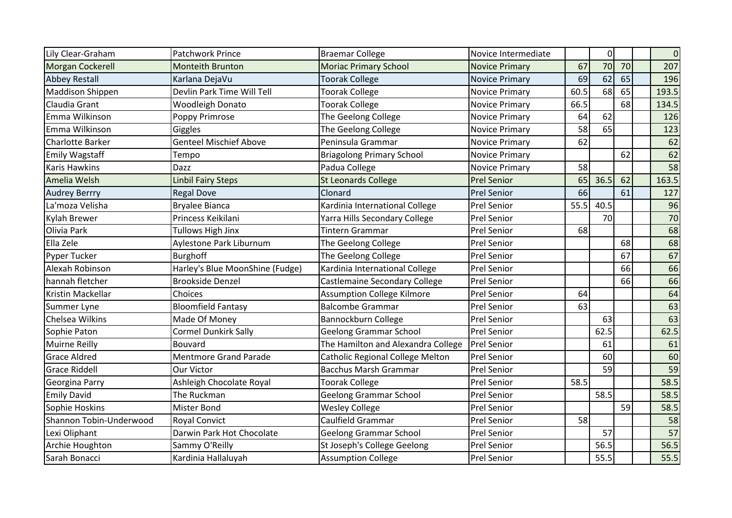| Lily Clear-Graham       | Patchwork Prince                | <b>Braemar College</b>                  | Novice Intermediate   |      | $\overline{0}$ |    | $\mathbf 0$ |
|-------------------------|---------------------------------|-----------------------------------------|-----------------------|------|----------------|----|-------------|
| Morgan Cockerell        | <b>Monteith Brunton</b>         | <b>Moriac Primary School</b>            | <b>Novice Primary</b> | 67   | 70             | 70 | 207         |
| <b>Abbey Restall</b>    | Karlana DejaVu                  | <b>Toorak College</b>                   | <b>Novice Primary</b> | 69   | 62             | 65 | 196         |
| <b>Maddison Shippen</b> | Devlin Park Time Will Tell      | <b>Toorak College</b>                   | <b>Novice Primary</b> | 60.5 | 68             | 65 | 193.5       |
| Claudia Grant           | <b>Woodleigh Donato</b>         | <b>Toorak College</b>                   | <b>Novice Primary</b> | 66.5 |                | 68 | 134.5       |
| Emma Wilkinson          | Poppy Primrose                  | The Geelong College                     | <b>Novice Primary</b> | 64   | 62             |    | 126         |
| Emma Wilkinson          | Giggles                         | The Geelong College                     | <b>Novice Primary</b> | 58   | 65             |    | 123         |
| <b>Charlotte Barker</b> | <b>Genteel Mischief Above</b>   | Peninsula Grammar                       | <b>Novice Primary</b> | 62   |                |    | 62          |
| Emily Wagstaff          | Tempo                           | <b>Briagolong Primary School</b>        | <b>Novice Primary</b> |      |                | 62 | 62          |
| Karis Hawkins           | Dazz                            | Padua College                           | <b>Novice Primary</b> | 58   |                |    | 58          |
| Amelia Welsh            | <b>Linbil Fairy Steps</b>       | <b>St Leonards College</b>              | <b>Prel Senior</b>    | 65   | 36.5           | 62 | 163.5       |
| <b>Audrey Berrry</b>    | <b>Regal Dove</b>               | Clonard                                 | <b>Prel Senior</b>    | 66   |                | 61 | 127         |
| La'moza Velisha         | <b>Bryalee Bianca</b>           | Kardinia International College          | <b>Prel Senior</b>    | 55.5 | 40.5           |    | 96          |
| Kylah Brewer            | Princess Keikilani              | Yarra Hills Secondary College           | <b>Prel Senior</b>    |      | 70             |    | 70          |
| Olivia Park             | <b>Tullows High Jinx</b>        | <b>Tintern Grammar</b>                  | <b>Prel Senior</b>    | 68   |                |    | 68          |
| Ella Zele               | Aylestone Park Liburnum         | The Geelong College                     | <b>Prel Senior</b>    |      |                | 68 | 68          |
| Pyper Tucker            | Burghoff                        | The Geelong College                     | <b>Prel Senior</b>    |      |                | 67 | 67          |
| Alexah Robinson         | Harley's Blue MoonShine (Fudge) | Kardinia International College          | <b>Prel Senior</b>    |      |                | 66 | 66          |
| hannah fletcher         | <b>Brookside Denzel</b>         | Castlemaine Secondary College           | <b>Prel Senior</b>    |      |                | 66 | 66          |
| Kristin Mackellar       | Choices                         | <b>Assumption College Kilmore</b>       | <b>Prel Senior</b>    | 64   |                |    | 64          |
| Summer Lyne             | <b>Bloomfield Fantasy</b>       | <b>Balcombe Grammar</b>                 | <b>Prel Senior</b>    | 63   |                |    | 63          |
| Chelsea Wilkins         | Made Of Money                   | Bannockburn College                     | <b>Prel Senior</b>    |      | 63             |    | 63          |
| Sophie Paton            | <b>Cormel Dunkirk Sally</b>     | <b>Geelong Grammar School</b>           | <b>Prel Senior</b>    |      | 62.5           |    | 62.5        |
| <b>Muirne Reilly</b>    | Bouvard                         | The Hamilton and Alexandra College      | <b>Prel Senior</b>    |      | 61             |    | 61          |
| <b>Grace Aldred</b>     | <b>Mentmore Grand Parade</b>    | <b>Catholic Regional College Melton</b> | <b>Prel Senior</b>    |      | 60             |    | 60          |
| <b>Grace Riddell</b>    | Our Victor                      | <b>Bacchus Marsh Grammar</b>            | <b>Prel Senior</b>    |      | 59             |    | 59          |
| Georgina Parry          | Ashleigh Chocolate Royal        | Toorak College                          | <b>Prel Senior</b>    | 58.5 |                |    | 58.5        |
| <b>Emily David</b>      | The Ruckman                     | Geelong Grammar School                  | <b>Prel Senior</b>    |      | 58.5           |    | 58.5        |
| Sophie Hoskins          | <b>Mister Bond</b>              | <b>Wesley College</b>                   | <b>Prel Senior</b>    |      |                | 59 | 58.5        |
| Shannon Tobin-Underwood | <b>Royal Convict</b>            | Caulfield Grammar                       | <b>Prel Senior</b>    | 58   |                |    | 58          |
| Lexi Oliphant           | Darwin Park Hot Chocolate       | <b>Geelong Grammar School</b>           | <b>Prel Senior</b>    |      | 57             |    | 57          |
| Archie Houghton         | Sammy O'Reilly                  | St Joseph's College Geelong             | <b>Prel Senior</b>    |      | 56.5           |    | 56.5        |
| Sarah Bonacci           | Kardinia Hallaluyah             | <b>Assumption College</b>               | <b>Prel Senior</b>    |      | 55.5           |    | 55.5        |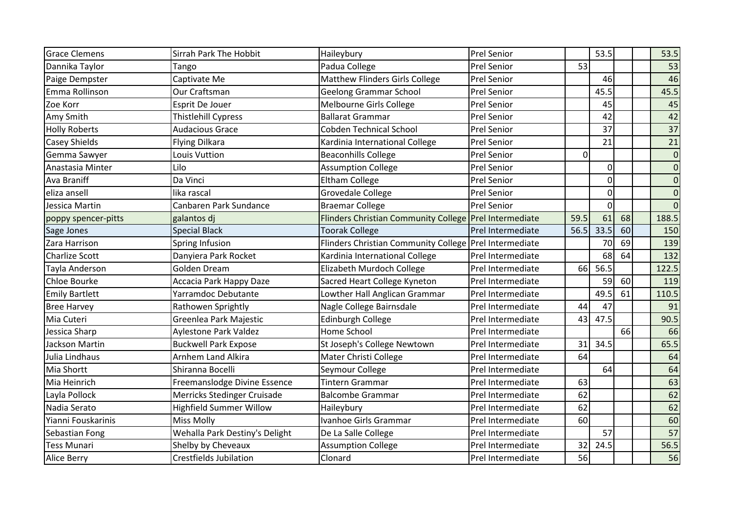| <b>Grace Clemens</b>  | Sirrah Park The Hobbit         | Haileybury                                             | <b>Prel Senior</b> |      | 53.5           |    | 53.5            |
|-----------------------|--------------------------------|--------------------------------------------------------|--------------------|------|----------------|----|-----------------|
| Dannika Taylor        | Tango                          | Padua College                                          | <b>Prel Senior</b> | 53   |                |    | 53              |
| Paige Dempster        | Captivate Me                   | <b>Matthew Flinders Girls College</b>                  | <b>Prel Senior</b> |      | 46             |    | 46              |
| Emma Rollinson        | Our Craftsman                  | <b>Geelong Grammar School</b>                          | Prel Senior        |      | 45.5           |    | 45.5            |
| Zoe Korr              | Esprit De Jouer                | Melbourne Girls College                                | <b>Prel Senior</b> |      | 45             |    | 45              |
| Amy Smith             | <b>Thistlehill Cypress</b>     | <b>Ballarat Grammar</b>                                | <b>Prel Senior</b> |      | 42             |    | 42              |
| <b>Holly Roberts</b>  | <b>Audacious Grace</b>         | <b>Cobden Technical School</b>                         | <b>Prel Senior</b> |      | 37             |    | 37              |
| Casey Shields         | <b>Flying Dilkara</b>          | Kardinia International College                         | Prel Senior        |      | 21             |    | $\overline{21}$ |
| Gemma Sawyer          | Louis Vuttion                  | <b>Beaconhills College</b>                             | Prel Senior        | 0    |                |    | $\mathbf 0$     |
| Anastasia Minter      | Lilo                           | <b>Assumption College</b>                              | <b>Prel Senior</b> |      | $\overline{0}$ |    | $\overline{0}$  |
| Ava Braniff           | Da Vinci                       | <b>Eltham College</b>                                  | Prel Senior        |      | $\overline{0}$ |    | $\overline{0}$  |
| eliza ansell          | lika rascal                    | Grovedale College                                      | <b>Prel Senior</b> |      | $\overline{0}$ |    | $\overline{0}$  |
| Jessica Martin        | Canbaren Park Sundance         | <b>Braemar College</b>                                 | <b>Prel Senior</b> |      | $\overline{0}$ |    | $\overline{0}$  |
| poppy spencer-pitts   | galantos di                    | Flinders Christian Community College Prel Intermediate |                    | 59.5 | 61             | 68 | 188.5           |
| Sage Jones            | <b>Special Black</b>           | <b>Toorak College</b>                                  | Prel Intermediate  | 56.5 | 33.5           | 60 | 150             |
| Zara Harrison         | Spring Infusion                | Flinders Christian Community College Prel Intermediate |                    |      | 70             | 69 | 139             |
| <b>Charlize Scott</b> | Danyiera Park Rocket           | Kardinia International College                         | Prel Intermediate  |      | 68             | 64 | 132             |
| Tayla Anderson        | Golden Dream                   | Elizabeth Murdoch College                              | Prel Intermediate  | 66   | 56.5           |    | 122.5           |
| Chloe Bourke          | Accacia Park Happy Daze        | Sacred Heart College Kyneton                           | Prel Intermediate  |      | 59             | 60 | 119             |
| <b>Emily Bartlett</b> | Yarramdoc Debutante            | Lowther Hall Anglican Grammar                          | Prel Intermediate  |      | 49.5           | 61 | 110.5           |
| <b>Bree Harvey</b>    | Rathowen Sprightly             | Nagle College Bairnsdale                               | Prel Intermediate  | 44   | 47             |    | 91              |
| Mia Cuteri            | Greenlea Park Majestic         | <b>Edinburgh College</b>                               | Prel Intermediate  | 43   | 47.5           |    | 90.5            |
| Jessica Sharp         | Aylestone Park Valdez          | Home School                                            | Prel Intermediate  |      |                | 66 | 66              |
| Jackson Martin        | <b>Buckwell Park Expose</b>    | St Joseph's College Newtown                            | Prel Intermediate  | 31   | 34.5           |    | 65.5            |
| Julia Lindhaus        | Arnhem Land Alkira             | Mater Christi College                                  | Prel Intermediate  | 64   |                |    | 64              |
| Mia Shortt            | Shiranna Bocelli               | Seymour College                                        | Prel Intermediate  |      | 64             |    | 64              |
| Mia Heinrich          | Freemanslodge Divine Essence   | <b>Tintern Grammar</b>                                 | Prel Intermediate  | 63   |                |    | 63              |
| Layla Pollock         | Merricks Stedinger Cruisade    | <b>Balcombe Grammar</b>                                | Prel Intermediate  | 62   |                |    | 62              |
| Nadia Serato          | <b>Highfield Summer Willow</b> | Haileybury                                             | Prel Intermediate  | 62   |                |    | 62              |
| Yianni Fouskarinis    | <b>Miss Molly</b>              | Ivanhoe Girls Grammar                                  | Prel Intermediate  | 60   |                |    | 60              |
| Sebastian Fong        | Wehalla Park Destiny's Delight | De La Salle College                                    | Prel Intermediate  |      | 57             |    | 57              |
| Tess Munari           | Shelby by Cheveaux             | <b>Assumption College</b>                              | Prel Intermediate  | 32   | 24.5           |    | 56.5            |
| <b>Alice Berry</b>    | <b>Crestfields Jubilation</b>  | Clonard                                                | Prel Intermediate  | 56   |                |    | 56              |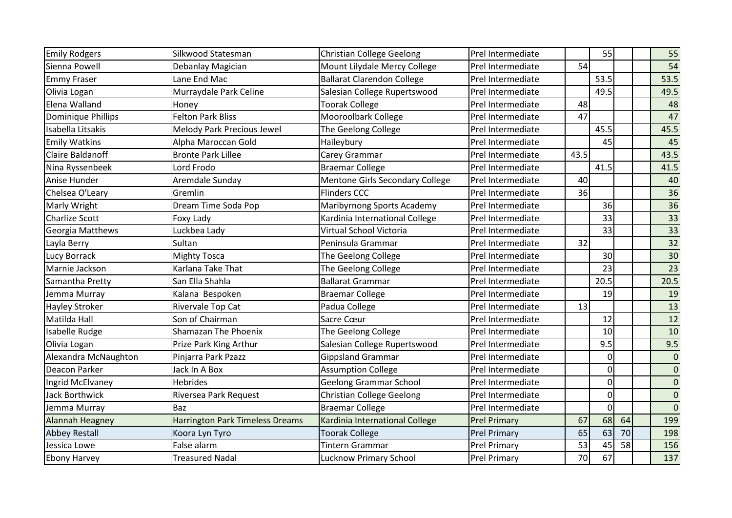| <b>Emily Rodgers</b>    | Silkwood Statesman                     | <b>Christian College Geelong</b>  | Prel Intermediate   |      | 55              |    | 55              |
|-------------------------|----------------------------------------|-----------------------------------|---------------------|------|-----------------|----|-----------------|
| Sienna Powell           | Debanlay Magician                      | Mount Lilydale Mercy College      | Prel Intermediate   | 54   |                 |    | 54              |
| <b>Emmy Fraser</b>      | Lane End Mac                           | <b>Ballarat Clarendon College</b> | Prel Intermediate   |      | 53.5            |    | 53.5            |
| Olivia Logan            | Murraydale Park Celine                 | Salesian College Rupertswood      | Prel Intermediate   |      | 49.5            |    | 49.5            |
| Elena Walland           | Honey                                  | <b>Toorak College</b>             | Prel Intermediate   | 48   |                 |    | 48              |
| Dominique Phillips      | <b>Felton Park Bliss</b>               | Mooroolbark College               | Prel Intermediate   | 47   |                 |    | 47              |
| Isabella Litsakis       | <b>Melody Park Precious Jewel</b>      | The Geelong College               | Prel Intermediate   |      | 45.5            |    | 45.5            |
| <b>Emily Watkins</b>    | Alpha Maroccan Gold                    | Haileybury                        | Prel Intermediate   |      | 45              |    | 45              |
| <b>Claire Baldanoff</b> | <b>Bronte Park Lillee</b>              | Carey Grammar                     | Prel Intermediate   | 43.5 |                 |    | 43.5            |
| Nina Ryssenbeek         | Lord Frodo                             | <b>Braemar College</b>            | Prel Intermediate   |      | 41.5            |    | 41.5            |
| Anise Hunder            | Aremdale Sunday                        | Mentone Girls Secondary College   | Prel Intermediate   | 40   |                 |    | 40              |
| Chelsea O'Leary         | Gremlin                                | <b>Flinders CCC</b>               | Prel Intermediate   | 36   |                 |    | 36              |
| Marly Wright            | Dream Time Soda Pop                    | Maribyrnong Sports Academy        | Prel Intermediate   |      | 36              |    | 36              |
| <b>Charlize Scott</b>   | Foxy Lady                              | Kardinia International College    | Prel Intermediate   |      | 33              |    | 33              |
| Georgia Matthews        | Luckbea Lady                           | Virtual School Victoria           | Prel Intermediate   |      | 33              |    | $\overline{33}$ |
| Layla Berry             | Sultan                                 | Peninsula Grammar                 | Prel Intermediate   | 32   |                 |    | $\overline{32}$ |
| Lucy Borrack            | <b>Mighty Tosca</b>                    | The Geelong College               | Prel Intermediate   |      | 30 <sup>1</sup> |    | 30              |
| Marnie Jackson          | Karlana Take That                      | The Geelong College               | Prel Intermediate   |      | 23              |    | 23              |
| Samantha Pretty         | San Ella Shahla                        | <b>Ballarat Grammar</b>           | Prel Intermediate   |      | 20.5            |    | 20.5            |
| Jemma Murray            | Kalana Bespoken                        | <b>Braemar College</b>            | Prel Intermediate   |      | 19              |    | 19              |
| Hayley Stroker          | Rivervale Top Cat                      | Padua College                     | Prel Intermediate   | 13   |                 |    | 13              |
| Matilda Hall            | Son of Chairman                        | Sacre Cœur                        | Prel Intermediate   |      | 12              |    | 12              |
| Isabelle Rudge          | Shamazan The Phoenix                   | The Geelong College               | Prel Intermediate   |      | 10              |    | 10              |
| Olivia Logan            | Prize Park King Arthur                 | Salesian College Rupertswood      | Prel Intermediate   |      | 9.5             |    | 9.5             |
| Alexandra McNaughton    | Pinjarra Park Pzazz                    | <b>Gippsland Grammar</b>          | Prel Intermediate   |      | 0               |    | $\overline{0}$  |
| Deacon Parker           | Jack In A Box                          | <b>Assumption College</b>         | Prel Intermediate   |      | 0               |    | $\mathbf 0$     |
| Ingrid McElvaney        | <b>Hebrides</b>                        | <b>Geelong Grammar School</b>     | Prel Intermediate   |      | $\overline{0}$  |    | $\overline{0}$  |
| Jack Borthwick          | Riversea Park Request                  | <b>Christian College Geelong</b>  | Prel Intermediate   |      | $\overline{0}$  |    | $\Omega$        |
| Jemma Murray            | Baz                                    | <b>Braemar College</b>            | Prel Intermediate   |      | $\overline{0}$  |    | $\Omega$        |
| <b>Alannah Heagney</b>  | <b>Harrington Park Timeless Dreams</b> | Kardinia International College    | <b>Prel Primary</b> | 67   | 68              | 64 | 199             |
| <b>Abbey Restall</b>    | Koora Lyn Tyro                         | <b>Toorak College</b>             | <b>Prel Primary</b> | 65   | 63              | 70 | 198             |
| Jessica Lowe            | False alarm                            | Tintern Grammar                   | <b>Prel Primary</b> | 53   | 45              | 58 | 156             |
| <b>Ebony Harvey</b>     | <b>Treasured Nadal</b>                 | Lucknow Primary School            | <b>Prel Primary</b> | 70   | 67              |    | 137             |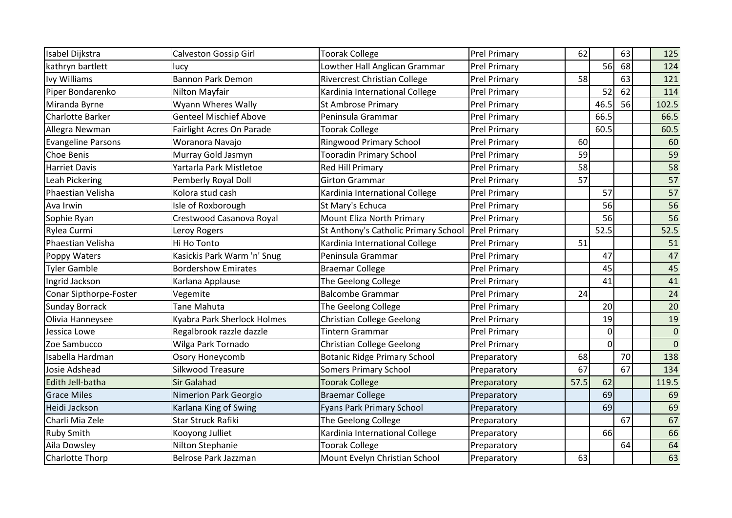| Isabel Dijkstra           | <b>Calveston Gossip Girl</b>  | <b>Toorak College</b>                | <b>Prel Primary</b> | 62   |                | 63 | 125            |
|---------------------------|-------------------------------|--------------------------------------|---------------------|------|----------------|----|----------------|
| kathryn bartlett          | lucy                          | Lowther Hall Anglican Grammar        | <b>Prel Primary</b> |      | 56             | 68 | 124            |
| Ivy Williams              | <b>Bannon Park Demon</b>      | <b>Rivercrest Christian College</b>  | <b>Prel Primary</b> | 58   |                | 63 | 121            |
| Piper Bondarenko          | Nilton Mayfair                | Kardinia International College       | <b>Prel Primary</b> |      | 52             | 62 | 114            |
| Miranda Byrne             | Wyann Wheres Wally            | St Ambrose Primary                   | <b>Prel Primary</b> |      | 46.5           | 56 | 102.5          |
| <b>Charlotte Barker</b>   | <b>Genteel Mischief Above</b> | Peninsula Grammar                    | <b>Prel Primary</b> |      | 66.5           |    | 66.5           |
| Allegra Newman            | Fairlight Acres On Parade     | <b>Toorak College</b>                | <b>Prel Primary</b> |      | 60.5           |    | 60.5           |
| <b>Evangeline Parsons</b> | Woranora Navajo               | <b>Ringwood Primary School</b>       | <b>Prel Primary</b> | 60   |                |    | 60             |
| Choe Benis                | Murray Gold Jasmyn            | <b>Tooradin Primary School</b>       | <b>Prel Primary</b> | 59   |                |    | 59             |
| <b>Harriet Davis</b>      | Yartarla Park Mistletoe       | <b>Red Hill Primary</b>              | <b>Prel Primary</b> | 58   |                |    | 58             |
| Leah Pickering            | Pemberly Royal Doll           | <b>Girton Grammar</b>                | <b>Prel Primary</b> | 57   |                |    | 57             |
| Phaestian Velisha         | Kolora stud cash              | Kardinia International College       | <b>Prel Primary</b> |      | 57             |    | 57             |
| Ava Irwin                 | Isle of Roxborough            | St Mary's Echuca                     | <b>Prel Primary</b> |      | 56             |    | 56             |
| Sophie Ryan               | Crestwood Casanova Royal      | Mount Eliza North Primary            | <b>Prel Primary</b> |      | 56             |    | 56             |
| Rylea Curmi               | Leroy Rogers                  | St Anthony's Catholic Primary School | <b>Prel Primary</b> |      | 52.5           |    | 52.5           |
| Phaestian Velisha         | Hi Ho Tonto                   | Kardinia International College       | <b>Prel Primary</b> | 51   |                |    | 51             |
| Poppy Waters              | Kasickis Park Warm 'n' Snug   | Peninsula Grammar                    | <b>Prel Primary</b> |      | 47             |    | 47             |
| <b>Tyler Gamble</b>       | <b>Bordershow Emirates</b>    | <b>Braemar College</b>               | <b>Prel Primary</b> |      | 45             |    | 45             |
| Ingrid Jackson            | Karlana Applause              | The Geelong College                  | <b>Prel Primary</b> |      | 41             |    | 41             |
| Conar Sipthorpe-Foster    | Vegemite                      | <b>Balcombe Grammar</b>              | <b>Prel Primary</b> | 24   |                |    | 24             |
| <b>Sunday Borrack</b>     | <b>Tane Mahuta</b>            | The Geelong College                  | <b>Prel Primary</b> |      | 20             |    | 20             |
| Olivia Hanneysee          | Kyabra Park Sherlock Holmes   | <b>Christian College Geelong</b>     | <b>Prel Primary</b> |      | 19             |    | 19             |
| Jessica Lowe              | Regalbrook razzle dazzle      | <b>Tintern Grammar</b>               | <b>Prel Primary</b> |      | $\overline{0}$ |    | $\mathbf 0$    |
| Zoe Sambucco              | Wilga Park Tornado            | <b>Christian College Geelong</b>     | <b>Prel Primary</b> |      | $\Omega$       |    | $\overline{0}$ |
| Isabella Hardman          | Osory Honeycomb               | <b>Botanic Ridge Primary School</b>  | Preparatory         | 68   |                | 70 | 138            |
| Josie Adshead             | Silkwood Treasure             | <b>Somers Primary School</b>         | Preparatory         | 67   |                | 67 | 134            |
| Edith Jell-batha          | <b>Sir Galahad</b>            | <b>Toorak College</b>                | Preparatory         | 57.5 | 62             |    | 119.5          |
| <b>Grace Miles</b>        | Nimerion Park Georgio         | <b>Braemar College</b>               | Preparatory         |      | 69             |    | 69             |
| Heidi Jackson             | Karlana King of Swing         | <b>Fyans Park Primary School</b>     | Preparatory         |      | 69             |    | 69             |
| Charli Mia Zele           | <b>Star Struck Rafiki</b>     | The Geelong College                  | Preparatory         |      |                | 67 | 67             |
| Ruby Smith                | Kooyong Julliet               | Kardinia International College       | Preparatory         |      | 66             |    | 66             |
| Aila Dowsley              | Nilton Stephanie              | <b>Toorak College</b>                | Preparatory         |      |                | 64 | 64             |
| <b>Charlotte Thorp</b>    | Belrose Park Jazzman          | Mount Evelyn Christian School        | Preparatory         | 63   |                |    | 63             |